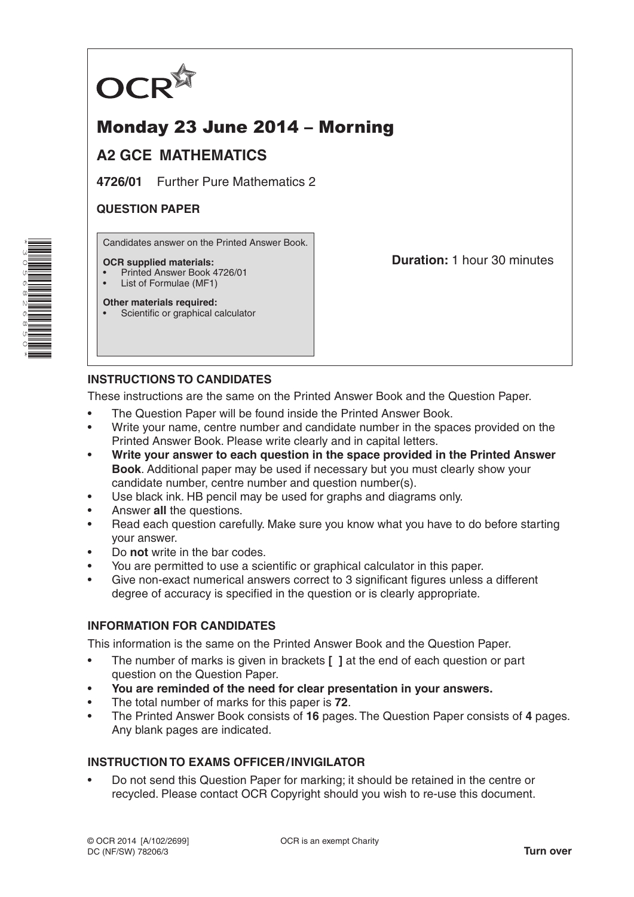

# Monday 23 June 2014 – Morning

# **A2 GCE MATHEMATICS**

**4726/01** Further Pure Mathematics 2

#### **QUESTION PAPER**

Candidates answer on the Printed Answer Book.

#### **OCR supplied materials:**

- Printed Answer Book 4726/01
- List of Formulae (MF1)

**Other materials required:**

Scientific or graphical calculator

**Duration:** 1 hour 30 minutes

## **INSTRUCTIONS TO CANDIDATES**

These instructions are the same on the Printed Answer Book and the Question Paper.

- The Question Paper will be found inside the Printed Answer Book.
- Write your name, centre number and candidate number in the spaces provided on the Printed Answer Book. Please write clearly and in capital letters.
- **Write your answer to each question in the space provided in the Printed Answer Book**. Additional paper may be used if necessary but you must clearly show your candidate number, centre number and question number(s).
- Use black ink. HB pencil may be used for graphs and diagrams only.
- Answer **all** the questions.
- Read each question carefully. Make sure you know what you have to do before starting your answer.
- Do **not** write in the bar codes.
- You are permitted to use a scientific or graphical calculator in this paper.
- Give non-exact numerical answers correct to 3 significant figures unless a different degree of accuracy is specified in the question or is clearly appropriate.

## **INFORMATION FOR CANDIDATES**

This information is the same on the Printed Answer Book and the Question Paper.

- The number of marks is given in brackets **[ ]** at the end of each question or part question on the Question Paper.
- **You are reminded of the need for clear presentation in your answers.**
- The total number of marks for this paper is **72**.
- The Printed Answer Book consists of **16** pages. The Question Paper consists of **4** pages. Any blank pages are indicated.

## **INSTRUCTION TO EXAMS OFFICER/INVIGILATOR**

• Do not send this Question Paper for marking; it should be retained in the centre or recycled. Please contact OCR Copyright should you wish to re-use this document.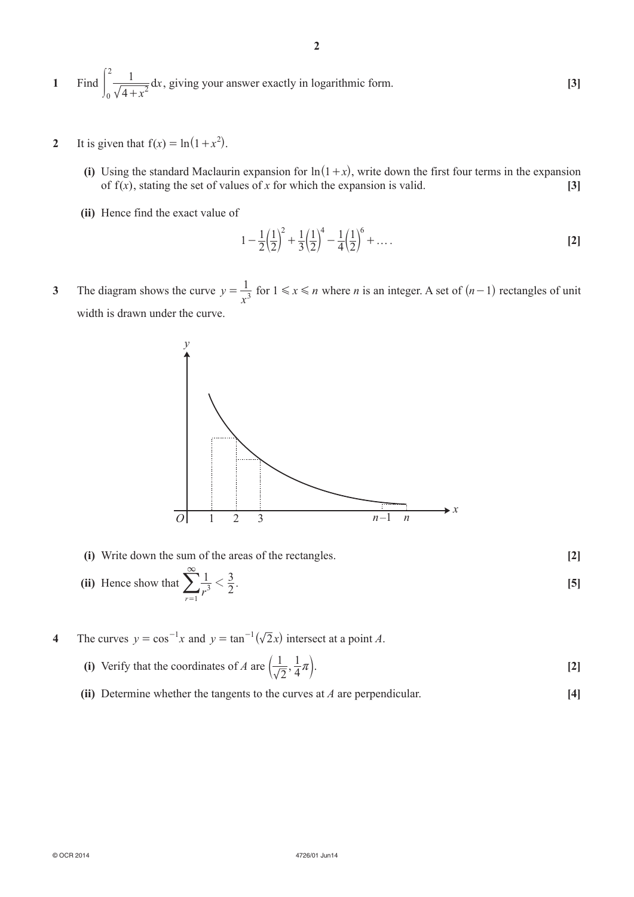**1** Find *x*  $\int_{0}^{2} \frac{1}{\sqrt{4+x^2}} dx$ 2  $\int_0^1 \frac{1}{\sqrt{4+x^2}} dx$ , giving your answer exactly in logarithmic form. **[3]** 

- **2** It is given that  $f(x) = \ln(1 + x^2)$ .
	- **(i)** Using the standard Maclaurin expansion for  $\ln(1+x)$ , write down the first four terms in the expansion of  $f(x)$ , stating the set of values of *x* for which the expansion is valid. **[3]**
	- **(ii)** Hence find the exact value of

$$
1 - \frac{1}{2} \left(\frac{1}{2}\right)^2 + \frac{1}{3} \left(\frac{1}{2}\right)^4 - \frac{1}{4} \left(\frac{1}{2}\right)^6 + \dots
$$
 [2]

**3**  The diagram shows the curve *y*  $=\frac{1}{x^3}$  for  $1 \le x \le n$  where *n* is an integer. A set of  $(n-1)$  rectangles of unit width is drawn under the curve.



- **(i)** Write down the sum of the areas of the rectangles. **[2]**  $\infty$
- (ii) Hence show that  $\sum_{n=1}^{\infty} \frac{1}{r^3} < \frac{3}{2}$ . *r* 3 1  $\lt$  $\sum_{r=1}^{\infty} \frac{1}{r^3} < \frac{3}{2}$ . [5]
- **4** The curves  $y = \cos^{-1}x$  and  $y = \tan^{-1}(\sqrt{2}x)$  intersect at a point *A*.
- **(i)** Verify that the coordinates of *A* are  $\left(\frac{1}{\sqrt{2}},\right)$ 1  $\left(\frac{1}{\sqrt{2}}, \frac{1}{4}\pi\right)$ . [2]
	- **(ii)** Determine whether the tangents to the curves at *A* are perpendicular.  $\begin{bmatrix} 4 \end{bmatrix}$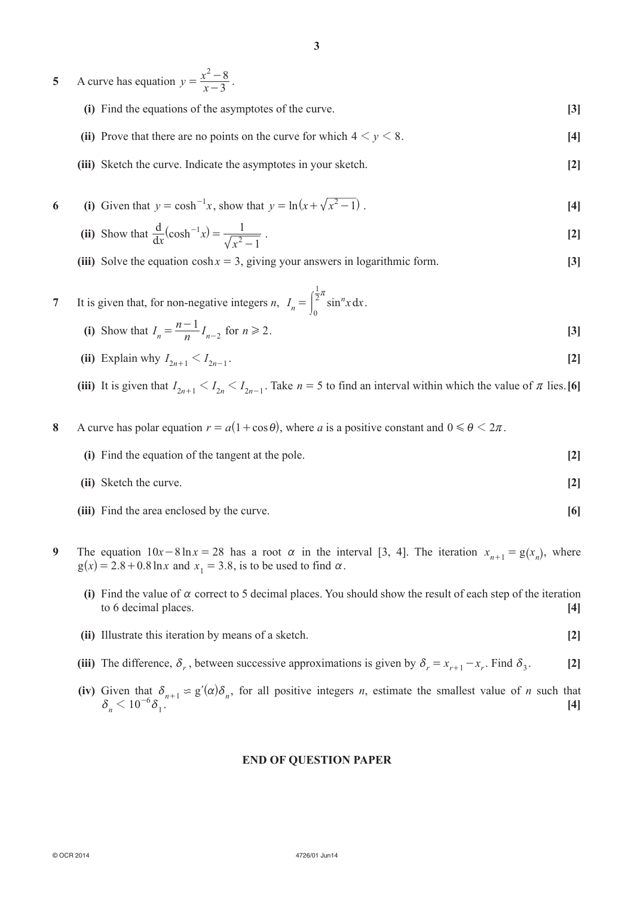- **5** A curve has equation  $y = \frac{x^2}{x}$ 3  $^{2}-8$  $=\frac{x^2-8}{x-3}$ .
	- **(i)** Find the equations of the asymptotes of the curve. **[3]**
	- **(ii)** Prove that there are no points on the curve for which  $4 \le y \le 8$ .
	- **(iii)** Sketch the curve. Indicate the asymptotes in your sketch. **[2]**

6 (i) Given that 
$$
y = \cosh^{-1} x
$$
, show that  $y = \ln(x + \sqrt{x^2 - 1})$ . [4]

(ii) Show that 
$$
\frac{d}{dx}(\cosh^{-1}x) = \frac{1}{\sqrt{x^2 - 1}}
$$
. [2]

**(iii)** Solve the equation  $cosh x = 3$ , giving your answers in logarithmic form. **[3]** 

7 It is given that, for non-negative integers *n*, 
$$
I_n = \int_0^{\frac{1}{2}\pi} \sin^n x \, dx
$$
.  
\n(i) Show that  $I_n = \frac{n-1}{n} I_{n-2}$  for  $n \ge 2$ .

- (ii) Explain why  $I_{2n+1} \leq I_{2n-1}$ . [2]
- (iii) It is given that  $I_{2n+1} < I_{2n} < I_{2n-1}$ . Take  $n = 5$  to find an interval within which the value of  $\pi$  lies. [6]

**8** A curve has polar equation  $r = a(1 + \cos \theta)$ , where *a* is a positive constant and  $0 \le \theta \le 2\pi$ .

- **(i)** Find the equation of the tangent at the pole. **[2]**
- *(ii)* Sketch the curve. **[2]**
- *(iii)* Find the area enclosed by the curve. **[6]**
- **9** The equation  $10x 8\ln x = 28$  has a root  $\alpha$  in the interval [3, 4]. The iteration  $x_{n+1} = g(x_n)$ , where  $g(x) = 2.8 + 0.8 \ln x$  and  $x_1 = 3.8$ , is to be used to find  $\alpha$ .
	- **(i)** Find the value of  $\alpha$  correct to 5 decimal places. You should show the result of each step of the iteration to 6 decimal places. **[4]**
	- *(ii)* Illustrate this iteration by means of a sketch. **[2]**
	- (iii) The difference,  $\delta_r$ , between successive approximations is given by  $\delta_r = x_{r+1} x_r$ . Find  $\delta_3$ . [2]
- **(iv)** Given that  $\delta_{n+1} \approx g'(\alpha)\delta_n$ , for all positive integers *n*, estimate the smallest value of *n* such that  $\delta_n < 10^{-6} \delta_1^{n+1}$   $\sim$  .  $\delta_n$   $\sim$  1

#### **END OF QUESTION PAPER**